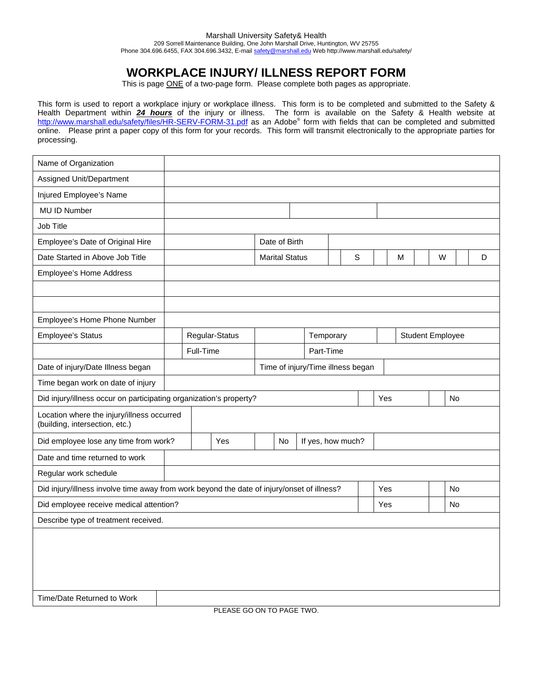## **WORKPLACE INJURY/ ILLNESS REPORT FORM**

This is page ONE of a two-page form. Please complete both pages as appropriate.

This form is used to report a workplace injury or workplace illness. This form is to be completed and submitted to the Safety & Health Department within *24 hours* of the injury or illness. The form is available on the Safety & Health website at http://www.marshall.edu/safety/files/HR-SERV-FORM-31.pdf as an Adobe® form with fields that can be completed and submitted online. Please print a paper copy of this form for your records. This form will transmit electronically to the appropriate parties for processing.

| Name of Organization                                                                       |                                   |                        |                |                       |               |                   |           |     |     |                         |           |           |  |   |  |
|--------------------------------------------------------------------------------------------|-----------------------------------|------------------------|----------------|-----------------------|---------------|-------------------|-----------|-----|-----|-------------------------|-----------|-----------|--|---|--|
| Assigned Unit/Department                                                                   |                                   |                        |                |                       |               |                   |           |     |     |                         |           |           |  |   |  |
| Injured Employee's Name                                                                    |                                   |                        |                |                       |               |                   |           |     |     |                         |           |           |  |   |  |
| MU ID Number                                                                               |                                   |                        |                |                       |               |                   |           |     |     |                         |           |           |  |   |  |
| Job Title                                                                                  |                                   |                        |                |                       |               |                   |           |     |     |                         |           |           |  |   |  |
| Employee's Date of Original Hire                                                           |                                   |                        |                |                       | Date of Birth |                   |           |     |     |                         |           |           |  |   |  |
| Date Started in Above Job Title                                                            |                                   |                        |                | <b>Marital Status</b> |               |                   | S         |     | M   |                         |           | W         |  | D |  |
| Employee's Home Address                                                                    |                                   |                        |                |                       |               |                   |           |     |     |                         |           |           |  |   |  |
|                                                                                            |                                   |                        |                |                       |               |                   |           |     |     |                         |           |           |  |   |  |
|                                                                                            |                                   |                        |                |                       |               |                   |           |     |     |                         |           |           |  |   |  |
| Employee's Home Phone Number                                                               |                                   |                        |                |                       |               |                   |           |     |     |                         |           |           |  |   |  |
| <b>Employee's Status</b>                                                                   |                                   |                        | Regular-Status |                       |               |                   | Temporary |     |     | <b>Student Employee</b> |           |           |  |   |  |
|                                                                                            |                                   | Full-Time<br>Part-Time |                |                       |               |                   |           |     |     |                         |           |           |  |   |  |
| Date of injury/Date Illness began                                                          | Time of injury/Time illness began |                        |                |                       |               |                   |           |     |     |                         |           |           |  |   |  |
| Time began work on date of injury                                                          |                                   |                        |                |                       |               |                   |           |     |     |                         |           |           |  |   |  |
| Yes<br>Did injury/illness occur on participating organization's property?<br><b>No</b>     |                                   |                        |                |                       |               |                   |           |     |     |                         |           |           |  |   |  |
| Location where the injury/illness occurred<br>(building, intersection, etc.)               |                                   |                        |                |                       |               |                   |           |     |     |                         |           |           |  |   |  |
| Did employee lose any time from work?                                                      |                                   |                        | Yes            |                       | No            | If yes, how much? |           |     |     |                         |           |           |  |   |  |
| Date and time returned to work                                                             |                                   |                        |                |                       |               |                   |           |     |     |                         |           |           |  |   |  |
| Regular work schedule                                                                      |                                   |                        |                |                       |               |                   |           |     |     |                         |           |           |  |   |  |
| Did injury/illness involve time away from work beyond the date of injury/onset of illness? |                                   |                        |                |                       |               |                   |           |     | Yes |                         |           | <b>No</b> |  |   |  |
| Did employee receive medical attention?                                                    |                                   |                        |                |                       |               |                   |           | Yes |     |                         | <b>No</b> |           |  |   |  |
| Describe type of treatment received.                                                       |                                   |                        |                |                       |               |                   |           |     |     |                         |           |           |  |   |  |
|                                                                                            |                                   |                        |                |                       |               |                   |           |     |     |                         |           |           |  |   |  |
|                                                                                            |                                   |                        |                |                       |               |                   |           |     |     |                         |           |           |  |   |  |
|                                                                                            |                                   |                        |                |                       |               |                   |           |     |     |                         |           |           |  |   |  |
|                                                                                            |                                   |                        |                |                       |               |                   |           |     |     |                         |           |           |  |   |  |

Time/Date Returned to Work

PLEASE GO ON TO PAGE TWO.